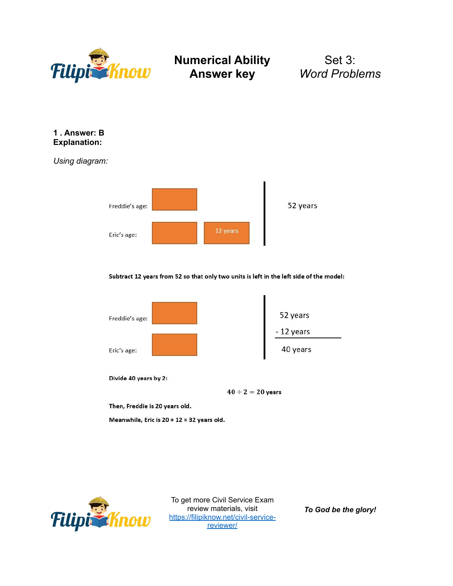

Set 3: *Word Problems*

#### **1 . Answer: B Explanation:**

*Using diagram:*



Subtract 12 years from 52 so that only two units is left in the left side of the model:



Divide 40 years by 2:

 $40 \div 2 = 20$  years

Then, Freddie is 20 years old.

Meanwhile, Eric is 20 + 12 = 32 years old.



To get more Civil Service Exam review materials, visit [https://filipiknow.net/civil-service](https://filipiknow.net/civil-service-reviewer/)[reviewer/](https://filipiknow.net/civil-service-reviewer/)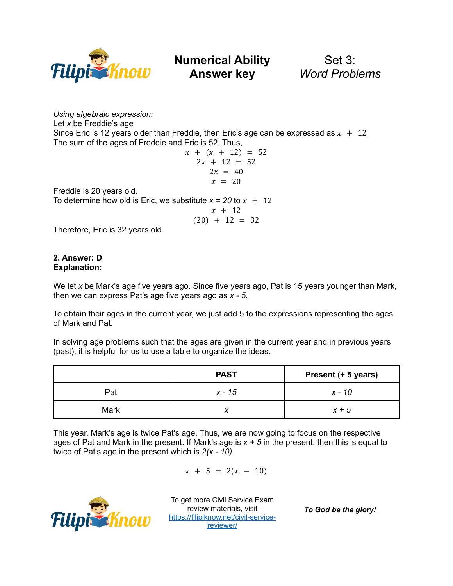

Set 3: *Word Problems*

*Using algebraic expression:* Let *x* be Freddie's age Since Eric is 12 years older than Freddie, then Eric's age can be expressed as  $x + 12$ The sum of the ages of Freddie and Eric is 52. Thus,

$$
x + (x + 12) = 52
$$
  
2x + 12 = 52  
2x = 40  

$$
x = 20
$$

Freddie is 20 years old.

To determine how old is Eric, we substitute  $x = 20$  to  $x + 12$ 

$$
\begin{array}{rcl}\nx + 12 \\
(20) + 12 &= 32\n\end{array}
$$

Therefore, Eric is 32 years old.

### **2. Answer: D Explanation:**

We let *x* be Mark's age five years ago. Since five years ago, Pat is 15 years younger than Mark, then we can express Pat's age five years ago as *x - 5*.

To obtain their ages in the current year, we just add 5 to the expressions representing the ages of Mark and Pat.

In solving age problems such that the ages are given in the current year and in previous years (past), it is helpful for us to use a table to organize the ideas.

|      | <b>PAST</b> | Present (+ 5 years) |
|------|-------------|---------------------|
| Pat  | x - 15      | x - 10              |
| Mark |             | $x + 5$             |

This year, Mark's age is twice Pat's age. Thus, we are now going to focus on the respective ages of Pat and Mark in the present. If Mark's age is *x + 5* in the present, then this is equal to twice of Pat's age in the present which is *2(x - 10).*

 $x + 5 = 2(x - 10)$ 



To get more Civil Service Exam review materials, visit [https://filipiknow.net/civil-service](https://filipiknow.net/civil-service-reviewer/)[reviewer/](https://filipiknow.net/civil-service-reviewer/)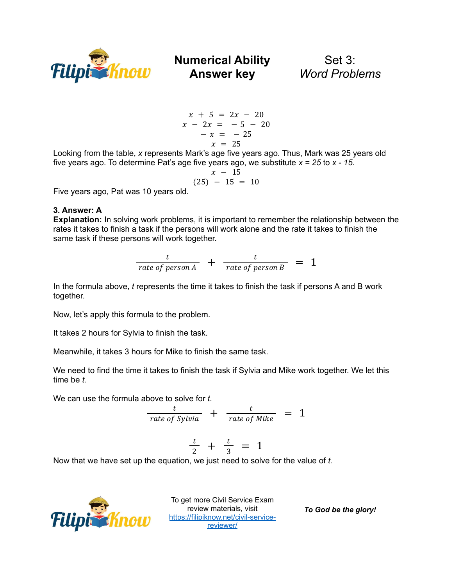

Set 3: *Word Problems*

$$
x + 5 = 2x - 20
$$
  

$$
x - 2x = -5 - 20
$$
  

$$
-x = -25
$$
  

$$
x = 25
$$

Looking from the table, *x* represents Mark's age five years ago. Thus, Mark was 25 years old five years ago. To determine Pat's age five years ago, we substitute *x = 25* to *x - 15.*

$$
\begin{array}{rcl} x - 15 \\ (25) - 15 = 10 \end{array}
$$

Five years ago, Pat was 10 years old.

### **3. Answer: A**

**Explanation:** In solving work problems, it is important to remember the relationship between the rates it takes to finish a task if the persons will work alone and the rate it takes to finish the same task if these persons will work together.

$$
\frac{t}{rate\ of\ person\ A} + \frac{t}{rate\ of\ person\ B} = 1
$$

In the formula above, *t* represents the time it takes to finish the task if persons A and B work together.

Now, let's apply this formula to the problem.

It takes 2 hours for Sylvia to finish the task.

Meanwhile, it takes 3 hours for Mike to finish the same task.

We need to find the time it takes to finish the task if Sylvia and Mike work together. We let this time be *t.*

We can use the formula above to solve for *t.*

$$
\frac{t}{rate\ of\ Sylvia} + \frac{t}{rate\ of\ Mike} = 1
$$

$$
\frac{t}{2} + \frac{t}{3} = 1
$$

Now that we have set up the equation, we just need to solve for the value of *t.*



To get more Civil Service Exam review materials, visit [https://filipiknow.net/civil-service](https://filipiknow.net/civil-service-reviewer/)[reviewer/](https://filipiknow.net/civil-service-reviewer/)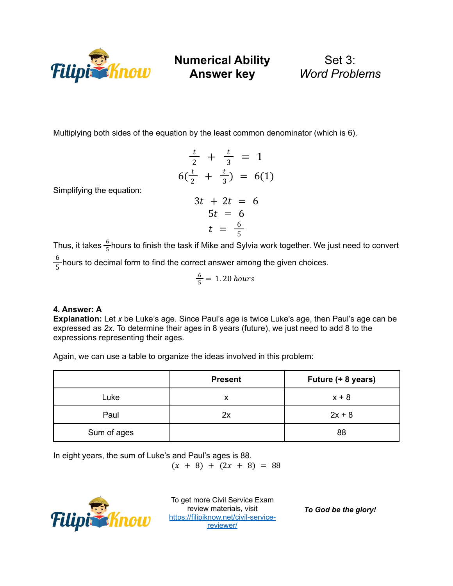

Set 3: *Word Problems*

Multiplying both sides of the equation by the least common denominator (which is 6).

$$
\frac{t}{2} + \frac{t}{3} = 1
$$
  
6( $\frac{t}{2}$  +  $\frac{t}{3}$ ) = 6(1)  
3t + 2t = 6  
5t = 6  
5t = 6  
t =  $\frac{6}{5}$ 

Simplifying the equation:

Thus, it takes  $\frac{6}{5}$ hours to finish the task if Mike and Sylvia work together. We just need to convert 5

 $\frac{6}{5}$  hours to decimal form to find the correct answer among the given choices. 5

$$
\frac{6}{5} = 1.20 \text{ hours}
$$

### **4. Answer: A**

**Explanation:** Let *x* be Luke's age. Since Paul's age is twice Luke's age, then Paul's age can be expressed as *2x*. To determine their ages in 8 years (future), we just need to add 8 to the expressions representing their ages.

Again, we can use a table to organize the ideas involved in this problem:

|             | <b>Present</b> | Future (+ 8 years) |
|-------------|----------------|--------------------|
| Luke        |                | $x + 8$            |
| Paul        | 2x             | $2x + 8$           |
| Sum of ages |                | 88                 |

In eight years, the sum of Luke's and Paul's ages is 88.

 $(x + 8) + (2x + 8) = 88$ 



To get more Civil Service Exam review materials, visit [https://filipiknow.net/civil-service](https://filipiknow.net/civil-service-reviewer/)[reviewer/](https://filipiknow.net/civil-service-reviewer/)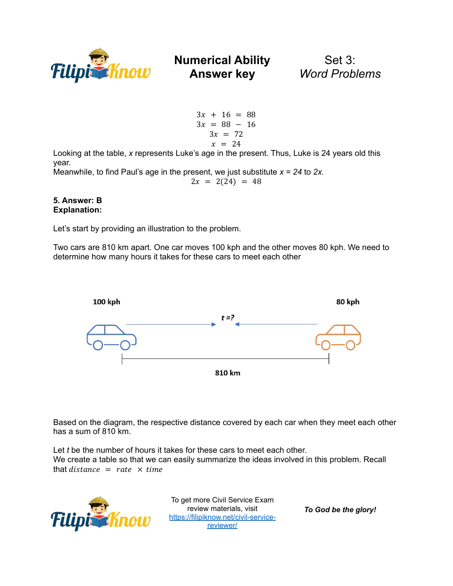

Set 3: *Word Problems*

 $3x + 16 = 88$  $3x = 88 - 16$  $3x = 72$  $x = 24$ 

Looking at the table, *x* represents Luke's age in the present. Thus, Luke is 24 years old this year.

Meanwhile, to find Paul's age in the present, we just substitute  $x = 24$  to 2x.  $2x = 2(24) = 48$ 

#### **5. Answer: B Explanation:**

Let's start by providing an illustration to the problem.

Two cars are 810 km apart. One car moves 100 kph and the other moves 80 kph. We need to determine how many hours it takes for these cars to meet each other



Based on the diagram, the respective distance covered by each car when they meet each other has a sum of 810 km.

Let *t* be the number of hours it takes for these cars to meet each other. We create a table so that we can easily summarize the ideas involved in this problem. Recall that  $distance = rate \times time$ 



To get more Civil Service Exam review materials, visit [https://filipiknow.net/civil-service](https://filipiknow.net/civil-service-reviewer/)[reviewer/](https://filipiknow.net/civil-service-reviewer/)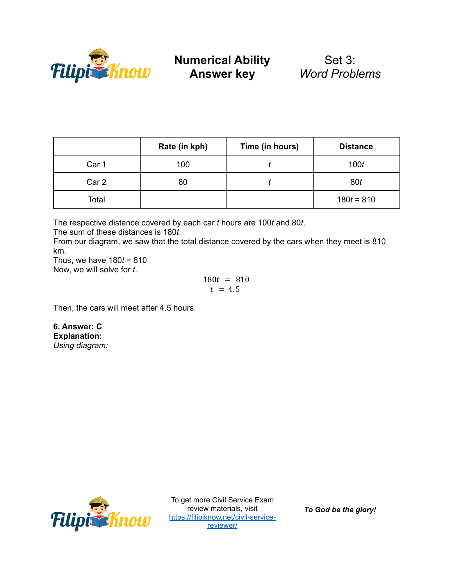

|       | Rate (in kph) | Time (in hours) | <b>Distance</b> |
|-------|---------------|-----------------|-----------------|
| Car 1 | 100           |                 | 100t            |
| Car 2 | 80            |                 | 80t             |
| Total |               |                 | $180t = 810$    |

The respective distance covered by each car *t* hours are 100*t* and 80*t*.

The sum of these distances is 180*t*.

From our diagram, we saw that the total distance covered by the cars when they meet is 810 km.

Thus, we have 180*t* = 810 Now, we will solve for *t*.

$$
180t = 810
$$
  

$$
t = 4.5
$$

Then, the cars will meet after 4.5 hours.

**6. Answer: C Explanation:** *Using diagram:*



To get more Civil Service Exam review materials, visit [https://filipiknow.net/civil-service](https://filipiknow.net/civil-service-reviewer/)[reviewer/](https://filipiknow.net/civil-service-reviewer/)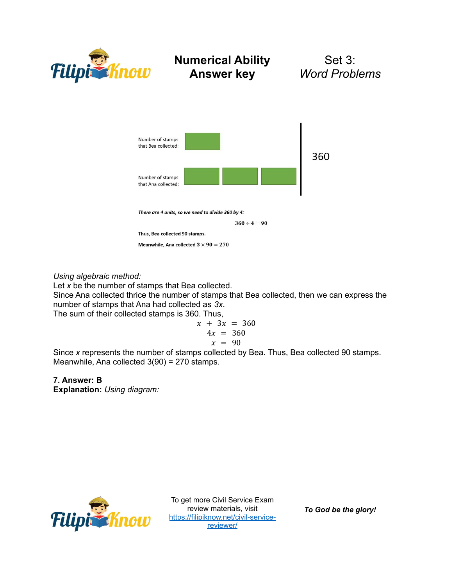

Set 3: *Word Problems*



*Using algebraic method:*

Let *x* be the number of stamps that Bea collected.

Since Ana collected thrice the number of stamps that Bea collected, then we can express the number of stamps that Ana had collected as *3x*.

The sum of their collected stamps is 360. Thus,

$$
x + 3x = 360
$$
  

$$
4x = 360
$$
  

$$
x = 90
$$

Since *x* represents the number of stamps collected by Bea. Thus, Bea collected 90 stamps. Meanwhile, Ana collected 3(90) = 270 stamps.

**7. Answer: B**

**Explanation:** *Using diagram:*



To get more Civil Service Exam review materials, visit [https://filipiknow.net/civil-service](https://filipiknow.net/civil-service-reviewer/)[reviewer/](https://filipiknow.net/civil-service-reviewer/)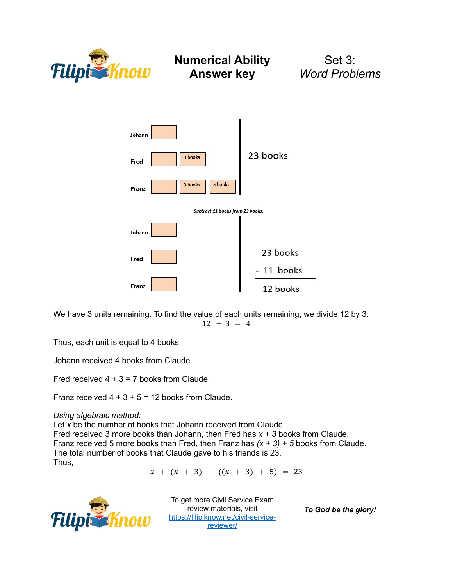

Set 3: *Word Problems*



We have 3 units remaining. To find the value of each units remaining, we divide 12 by 3:  $12 \div 3 = 4$ 

Thus, each unit is equal to 4 books.

Johann received 4 books from Claude.

Fred received  $4 + 3 = 7$  books from Claude.

Franz received  $4 + 3 + 5 = 12$  books from Claude.

*Using algebraic method:*

Let *x* be the number of books that Johann received from Claude. Fred received 3 more books than Johann, then Fred has *x + 3* books from Claude. Franz received 5 more books than Fred, then Franz has *(x + 3) + 5* books from Claude. The total number of books that Claude gave to his friends is 23. Thus,

 $x + (x + 3) + ((x + 3) + 5) = 23$ 



To get more Civil Service Exam review materials, visit [https://filipiknow.net/civil-service](https://filipiknow.net/civil-service-reviewer/)[reviewer/](https://filipiknow.net/civil-service-reviewer/)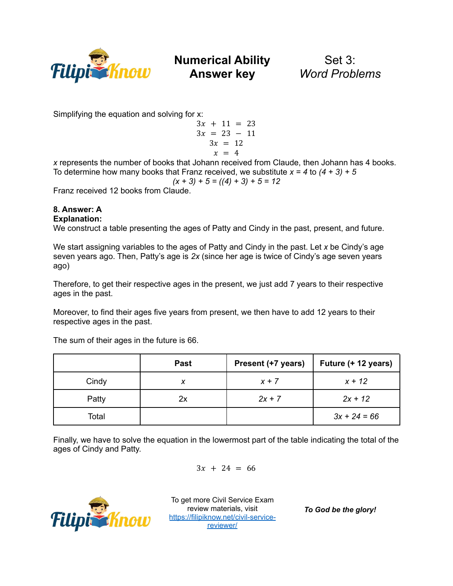

Set 3: *Word Problems*

Simplifying the equation and solving for x:

$$
3x + 11 = 23 \n3x = 23 - 11 \n3x = 12 \nx = 4
$$

*x* represents the number of books that Johann received from Claude, then Johann has 4 books. To determine how many books that Franz received, we substitute  $x = 4$  to  $(4 + 3) + 5$ 

$$
(x + 3) + 5 = ((4) + 3) + 5 = 12
$$

Franz received 12 books from Claude.

#### **8. Answer: A Explanation:**

We construct a table presenting the ages of Patty and Cindy in the past, present, and future.

We start assigning variables to the ages of Patty and Cindy in the past. Let *x* be Cindy's age seven years ago. Then, Patty's age is *2x* (since her age is twice of Cindy's age seven years ago)

Therefore, to get their respective ages in the present, we just add 7 years to their respective ages in the past.

Moreover, to find their ages five years from present, we then have to add 12 years to their respective ages in the past.

The sum of their ages in the future is 66.

|       | <b>Past</b> | Present (+7 years) | Future (+ 12 years) |
|-------|-------------|--------------------|---------------------|
| Cindy |             | $x + 7$            | $x + 12$            |
| Patty | 2x          | $2x + 7$           | $2x + 12$           |
| Total |             |                    | $3x + 24 = 66$      |

Finally, we have to solve the equation in the lowermost part of the table indicating the total of the ages of Cindy and Patty.

$$
3x + 24 = 66
$$



To get more Civil Service Exam review materials, visit [https://filipiknow.net/civil-service](https://filipiknow.net/civil-service-reviewer/)[reviewer/](https://filipiknow.net/civil-service-reviewer/)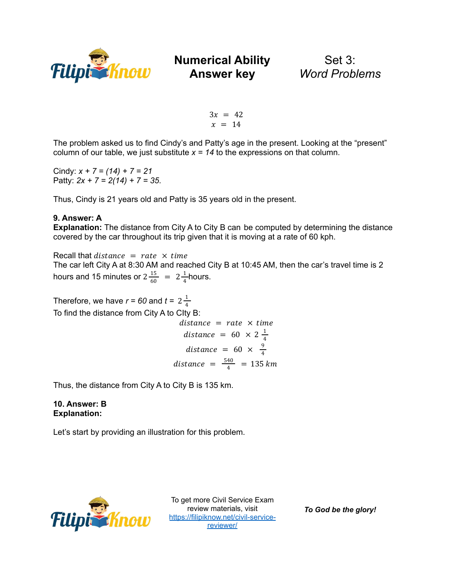

Set 3: *Word Problems*

 $3x = 42$  $x = 14$ 

The problem asked us to find Cindy's and Patty's age in the present. Looking at the "present" column of our table, we just substitute  $x = 14$  to the expressions on that column.

Cindy: *x + 7 = (14) + 7 = 21* Patty: *2x + 7 = 2(14) + 7 = 35*.

Thus, Cindy is 21 years old and Patty is 35 years old in the present.

### **9. Answer: A**

**Explanation:** The distance from City A to City B can be computed by determining the distance covered by the car throughout its trip given that it is moving at a rate of 60 kph.

Recall that distance  $=$  rate  $\times$  time The car left City A at 8:30 AM and reached City B at 10:45 AM, then the car's travel time is 2 hours and 15 minutes or  $2\frac{15}{60}$  =  $2\frac{1}{4}$ hours. 4

Therefore, we have  $r = 60$  and  $t = 2\frac{1}{4}$ 4 To find the distance from City A to CIty B:

 $distance = rate \times time$ distance =  $60 \times 2\frac{1}{4}$ 4 distance = 60  $\times$   $\frac{9}{4}$ 4 distance  $= \frac{540}{4} = 135$  km

Thus, the distance from City A to City B is 135 km.

**10. Answer: B Explanation:**

Let's start by providing an illustration for this problem.



To get more Civil Service Exam review materials, visit [https://filipiknow.net/civil-service](https://filipiknow.net/civil-service-reviewer/)[reviewer/](https://filipiknow.net/civil-service-reviewer/)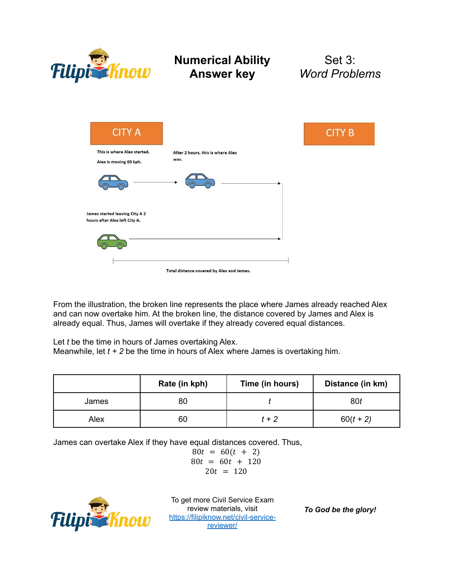

### Set 3: *Word Problems*



From the illustration, the broken line represents the place where James already reached Alex and can now overtake him. At the broken line, the distance covered by James and Alex is already equal. Thus, James will overtake if they already covered equal distances.

Let *t* be the time in hours of James overtaking Alex.

Meanwhile, let *t + 2* be the time in hours of Alex where James is overtaking him.

|       | Rate (in kph) | Time (in hours) | Distance (in km) |
|-------|---------------|-----------------|------------------|
| James | 80            |                 | 80t              |
| Alex  | 60            | $t + 2$         | $60(t + 2)$      |

James can overtake Alex if they have equal distances covered. Thus,

$$
80t = 60(t + 2)
$$
  
80t = 60t + 120  
20t = 120



To get more Civil Service Exam review materials, visit [https://filipiknow.net/civil-service](https://filipiknow.net/civil-service-reviewer/)[reviewer/](https://filipiknow.net/civil-service-reviewer/)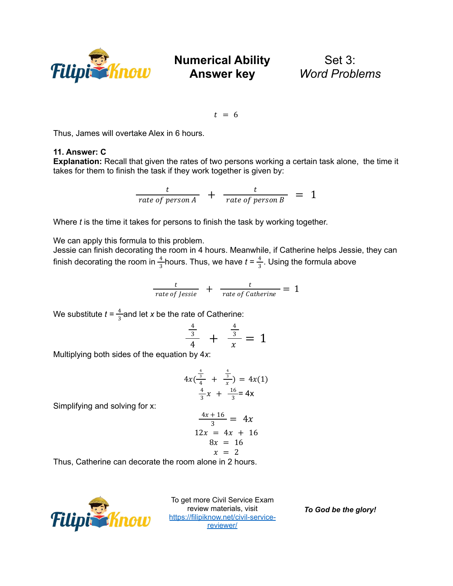

Set 3: *Word Problems*

 $t = 6$ 

Thus, James will overtake Alex in 6 hours.

### **11. Answer: C**

**Explanation:** Recall that given the rates of two persons working a certain task alone, the time it takes for them to finish the task if they work together is given by:

$$
\frac{t}{rate\ of\ person\ A} + \frac{t}{rate\ of\ person\ B} = 1
$$

Where *t* is the time it takes for persons to finish the task by working together.

We can apply this formula to this problem.

Jessie can finish decorating the room in 4 hours. Meanwhile, if Catherine helps Jessie, they can finish decorating the room in  $\frac{4}{2}$  hours. Thus, we have  $t = \frac{4}{2}$ . Using the formula above 3 4 3

$$
\frac{t}{rate\ of\ lessie} + \frac{t}{rate\ of\ Catherine} = 1
$$

We substitute  $t = \frac{4}{3}$  and let x be the rate of Catherine: 3

$$
\frac{\frac{4}{3}}{4} + \frac{\frac{4}{3}}{x} = 1
$$

Multiplying both sides of the equation by 4*x*:

$$
4x(\frac{\frac{4}{3}}{\frac{4}{3}} + \frac{\frac{4}{3}}{x}) = 4x(1)
$$
  

$$
\frac{4}{3}x + \frac{16}{3} = 4x
$$

Simplifying and solving for x:

$$
\frac{4x+16}{3} = 4x
$$
  

$$
12x = 4x + 16
$$
  

$$
8x = 16
$$
  

$$
x = 2
$$

Thus, Catherine can decorate the room alone in 2 hours.



To get more Civil Service Exam review materials, visit [https://filipiknow.net/civil-service](https://filipiknow.net/civil-service-reviewer/)[reviewer/](https://filipiknow.net/civil-service-reviewer/)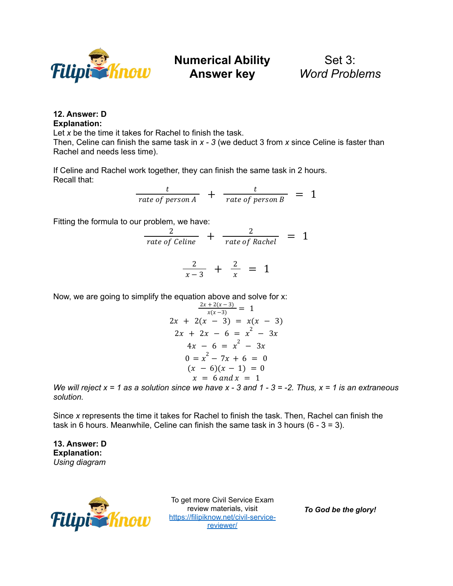

Set 3: *Word Problems*

### **12. Answer: D Explanation:**

Let *x* be the time it takes for Rachel to finish the task.

Then, Celine can finish the same task in *x - 3* (we deduct 3 from *x* since Celine is faster than Rachel and needs less time).

If Celine and Rachel work together, they can finish the same task in 2 hours. Recall that:

$$
\frac{t}{rate\ of\ person\ A} + \frac{t}{rate\ of\ person\ B} = 1
$$

Fitting the formula to our problem, we have:

$$
\frac{2}{rate\ of\ Celine} + \frac{2}{rate\ of\ Rachel} = 1
$$

$$
\frac{2}{x-3} + \frac{2}{x} = 1
$$

Now, we are going to simplify the equation above and solve for x:

$$
\frac{2x + 2(x-3)}{x(x-3)} = 1
$$
  
2x + 2(x - 3) = x(x - 3)  
2x + 2x - 6 = x<sup>2</sup> - 3x  
4x - 6 = x<sup>2</sup> - 3x  
0 = x<sup>2</sup> - 7x + 6 = 0  
(x - 6)(x - 1) = 0  
x = 6 and x = 1

We will reject  $x = 1$  as a solution since we have  $x - 3$  and  $1 - 3 = -2$ . Thus,  $x = 1$  is an extraneous *solution.*

Since *x* represents the time it takes for Rachel to finish the task. Then, Rachel can finish the task in 6 hours. Meanwhile, Celine can finish the same task in 3 hours  $(6 - 3 = 3)$ .

**13. Answer: D Explanation:** *Using diagram*



To get more Civil Service Exam review materials, visit [https://filipiknow.net/civil-service](https://filipiknow.net/civil-service-reviewer/)[reviewer/](https://filipiknow.net/civil-service-reviewer/)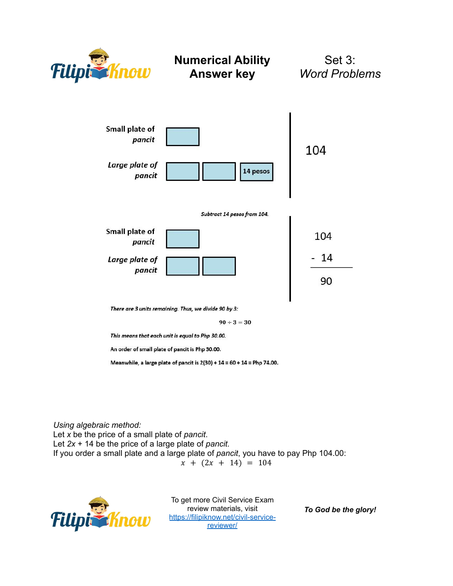

Set 3: *Word Problems*



There are 3 units remaining. Thus, we divide 90 by 3:

 $90 \div 3 = 30$ 

This means that each unit is equal to Php 30.00.

An order of small plate of pancit is Php 30.00.

Meanwhile, a large plate of pancit is 2(30) + 14 = 60 + 14 = Php 74.00.

*Using algebraic method:*

Let *x* be the price of a small plate of *pancit*. Let *2x* + 14 be the price of a large plate of *pancit.* If you order a small plate and a large plate of *pancit*, you have to pay Php 104.00:  $x + (2x + 14) = 104$ 



To get more Civil Service Exam review materials, visit [https://filipiknow.net/civil-service](https://filipiknow.net/civil-service-reviewer/)[reviewer/](https://filipiknow.net/civil-service-reviewer/)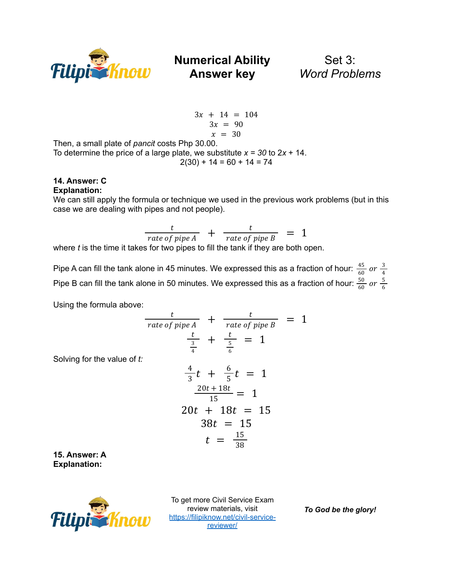

Set 3: *Word Problems*

$$
3x + 14 = 104
$$
  

$$
3x = 90
$$
  

$$
x = 30
$$

Then, a small plate of *pancit* costs Php 30.00. To determine the price of a large plate, we substitute  $x = 30$  to  $2x + 14$ .  $2(30) + 14 = 60 + 14 = 74$ 

#### **14. Answer: C Explanation:**

We can still apply the formula or technique we used in the previous work problems (but in this case we are dealing with pipes and not people).

 $\frac{t}{rate\ of\ pipe\ A}$  +  $\frac{t}{rate\ of\ pipe\ B}$  = 1

where *t* is the time it takes for two pipes to fill the tank if they are both open.

Pipe A can fill the tank alone in 45 minutes. We expressed this as a fraction of hour:  $\frac{45}{60}$  $\frac{45}{60}$  or  $\frac{3}{4}$ 4 Pipe B can fill the tank alone in 50 minutes. We expressed this as a fraction of hour:  $\frac{50}{60}$  $\frac{50}{60}$  or  $\frac{5}{6}$ 6

Using the formula above:

Solving for the value of

$$
\frac{t}{rate\ of\ pipe\ A} + \frac{t}{rate\ of\ pipe\ B} = 1
$$
\n
$$
\frac{t}{\frac{3}{4}} + \frac{t}{\frac{5}{6}} = 1
$$
\n
$$
\frac{4}{3}t + \frac{6}{5}t = 1
$$
\n
$$
\frac{20t + 18t}{15} = 1
$$
\n
$$
20t + 18t = 15
$$
\n
$$
38t = 15
$$
\n
$$
t = \frac{15}{38}
$$

**15. Answer: A Explanation:**



To get more Civil Service Exam review materials, visit [https://filipiknow.net/civil-service](https://filipiknow.net/civil-service-reviewer/)[reviewer/](https://filipiknow.net/civil-service-reviewer/)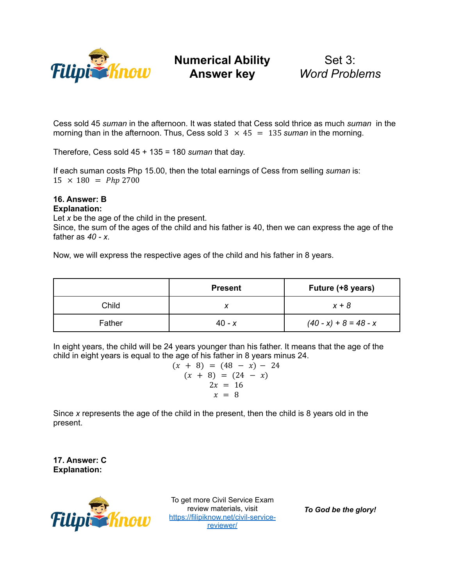

Set 3: *Word Problems*

Cess sold 45 *suman* in the afternoon. It was stated that Cess sold thrice as much *suman* in the morning than in the afternoon. Thus, Cess sold  $3 \times 45 = 135$  *suman* in the morning.

Therefore, Cess sold 45 + 135 = 180 *suman* that day.

If each suman costs Php 15.00, then the total earnings of Cess from selling *suman* is:  $15 \times 180 = Php\,2700$ 

#### **16. Answer: B Explanation:**

Let *x* be the age of the child in the present.

Since, the sum of the ages of the child and his father is 40, then we can express the age of the father as *40 - x*.

Now, we will express the respective ages of the child and his father in 8 years.

|        | <b>Present</b> | Future (+8 years)       |
|--------|----------------|-------------------------|
| Child  |                | $x + 8$                 |
| Father | $40 - x$       | $(40 - x) + 8 = 48 - x$ |

In eight years, the child will be 24 years younger than his father. It means that the age of the child in eight years is equal to the age of his father in 8 years minus 24.

$$
(x + 8) = (48 - x) - 24
$$
  
\n
$$
(x + 8) = (24 - x)
$$
  
\n
$$
2x = 16
$$
  
\n
$$
x = 8
$$

Since *x* represents the age of the child in the present, then the child is 8 years old in the present.

**17. Answer: C Explanation:**



To get more Civil Service Exam review materials, visit [https://filipiknow.net/civil-service](https://filipiknow.net/civil-service-reviewer/)[reviewer/](https://filipiknow.net/civil-service-reviewer/)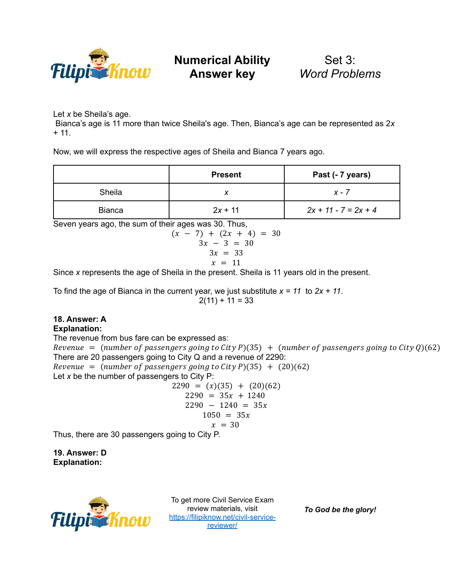

Set 3: *Word Problems*

Let *x* be Sheila's age.

Bianca's age is 11 more than twice Sheila's age. Then, Bianca's age can be represented as 2*x*  $+ 11.$ 

Now, we will express the respective ages of Sheila and Bianca 7 years ago.

|               | <b>Present</b> | Past (- 7 years)       |
|---------------|----------------|------------------------|
| Sheila        |                | x - 7                  |
| <b>Bianca</b> | $2x + 11$      | $2x + 11 - 7 = 2x + 4$ |

Seven years ago, the sum of their ages was 30. Thus,

$$
(x - 7) + (2x + 4) = 30
$$
  
3x - 3 = 30  
3x = 33  
 $x = 11$ 

Since *x* represents the age of Sheila in the present. Sheila is 11 years old in the present.

To find the age of Bianca in the current year, we just substitute *x = 11* to *2x + 11*.  $2(11) + 11 = 33$ 

#### **18. Answer: A Explanation:**

The revenue from bus fare can be expressed as: Revenue = (number of passengers going to City P)(35) + (number of passengers going to City Q)(62) There are 20 passengers going to City Q and a revenue of 2290: Revenue = (number of passengers going to City P)(35) + (20)(62) Let *x* be the number of passengers to City P:

$$
2290 = (x)(35) + (20)(62)
$$
  
\n
$$
2290 = 35x + 1240
$$
  
\n
$$
2290 - 1240 = 35x
$$
  
\n
$$
1050 = 35x
$$
  
\n
$$
x = 30
$$

Thus, there are 30 passengers going to City P.

**19. Answer: D Explanation:**



To get more Civil Service Exam review materials, visit [https://filipiknow.net/civil-service](https://filipiknow.net/civil-service-reviewer/)[reviewer/](https://filipiknow.net/civil-service-reviewer/)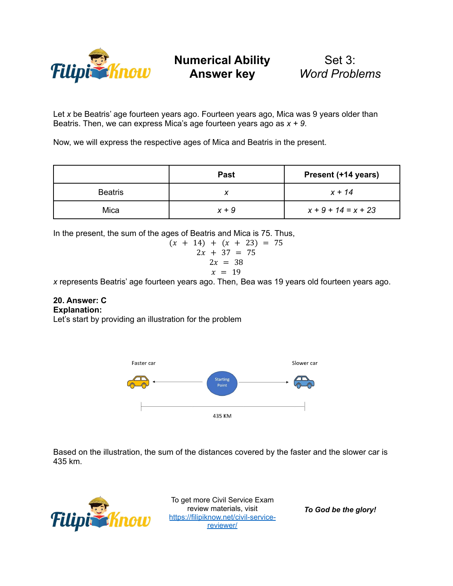

Set 3: *Word Problems*

Let *x* be Beatris' age fourteen years ago. Fourteen years ago, Mica was 9 years older than Beatris. Then, we can express Mica's age fourteen years ago as *x + 9*.

Now, we will express the respective ages of Mica and Beatris in the present.

|                | <b>Past</b> | Present (+14 years)   |
|----------------|-------------|-----------------------|
| <b>Beatris</b> |             | $x + 14$              |
| Mica           | $x + 9$     | $x + 9 + 14 = x + 23$ |

In the present, the sum of the ages of Beatris and Mica is 75. Thus,

$$
(x + 14) + (x + 23) = 75
$$
  
2x + 37 = 75  
2x = 38  
 $x = 19$ 

*x* represents Beatris' age fourteen years ago. Then, Bea was 19 years old fourteen years ago.

#### **20. Answer: C Explanation:**

Let's start by providing an illustration for the problem



Based on the illustration, the sum of the distances covered by the faster and the slower car is 435 km.



To get more Civil Service Exam review materials, visit [https://filipiknow.net/civil-service](https://filipiknow.net/civil-service-reviewer/)[reviewer/](https://filipiknow.net/civil-service-reviewer/)